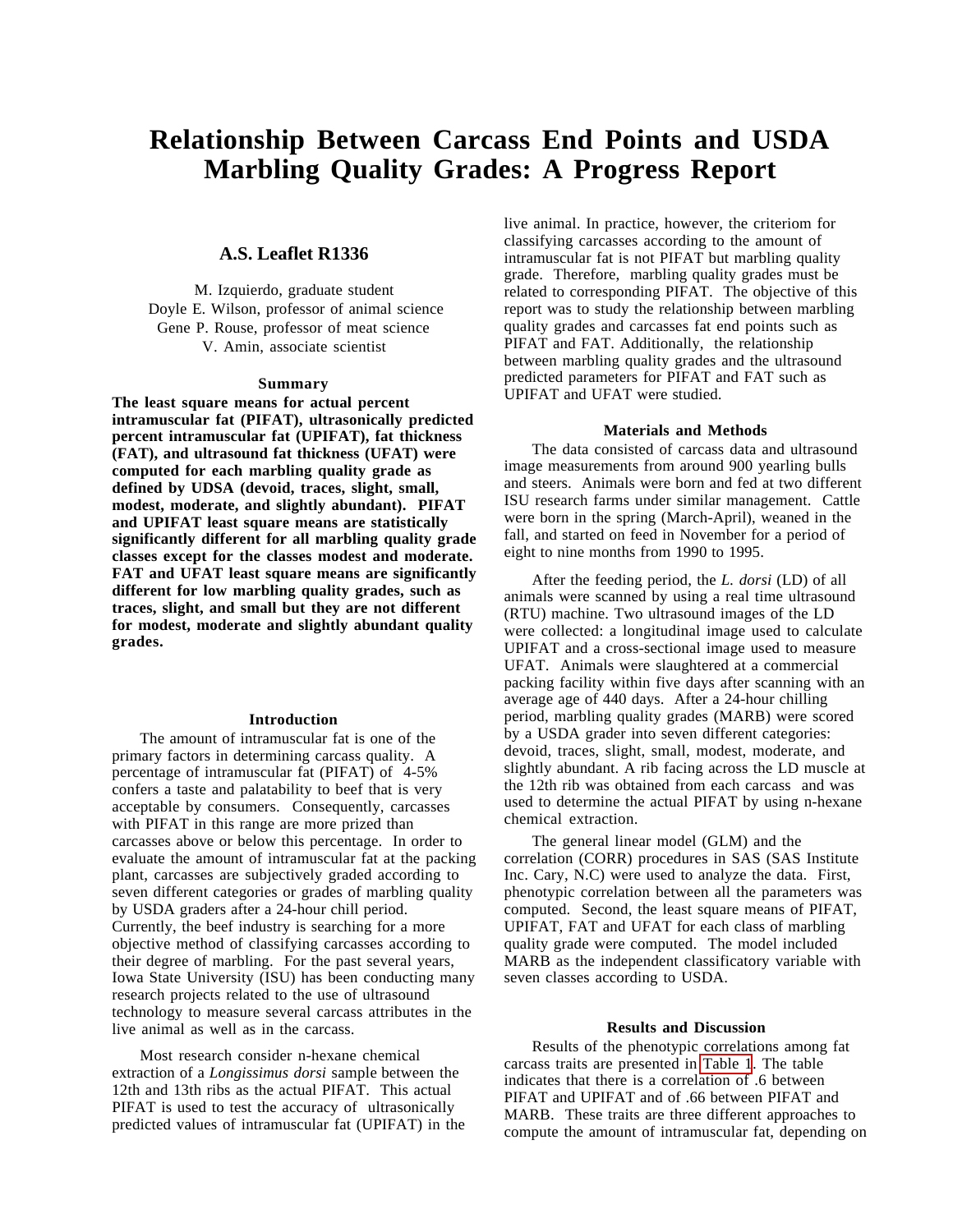# **Relationship Between Carcass End Points and USDA Marbling Quality Grades: A Progress Report**

# **A.S. Leaflet R1336**

M. Izquierdo, graduate student Doyle E. Wilson, professor of animal science Gene P. Rouse, professor of meat science V. Amin, associate scientist

#### **Summary**

**The least square means for actual percent intramuscular fat (PIFAT), ultrasonically predicted percent intramuscular fat (UPIFAT), fat thickness (FAT), and ultrasound fat thickness (UFAT) were computed for each marbling quality grade as defined by UDSA (devoid, traces, slight, small, modest, moderate, and slightly abundant). PIFAT and UPIFAT least square means are statistically significantly different for all marbling quality grade classes except for the classes modest and moderate. FAT and UFAT least square means are significantly different for low marbling quality grades, such as traces, slight, and small but they are not different for modest, moderate and slightly abundant quality grades.**

## **Introduction**

The amount of intramuscular fat is one of the primary factors in determining carcass quality. A percentage of intramuscular fat (PIFAT) of 4-5% confers a taste and palatability to beef that is very acceptable by consumers. Consequently, carcasses with PIFAT in this range are more prized than carcasses above or below this percentage. In order to evaluate the amount of intramuscular fat at the packing plant, carcasses are subjectively graded according to seven different categories or grades of marbling quality by USDA graders after a 24-hour chill period. Currently, the beef industry is searching for a more objective method of classifying carcasses according to their degree of marbling. For the past several years, Iowa State University (ISU) has been conducting many research projects related to the use of ultrasound technology to measure several carcass attributes in the live animal as well as in the carcass.

Most research consider n-hexane chemical extraction of a *Longissimus dorsi* sample between the 12th and 13th ribs as the actual PIFAT. This actual PIFAT is used to test the accuracy of ultrasonically predicted values of intramuscular fat (UPIFAT) in the

live animal. In practice, however, the criteriom for classifying carcasses according to the amount of intramuscular fat is not PIFAT but marbling quality grade. Therefore, marbling quality grades must be related to corresponding PIFAT. The objective of this report was to study the relationship between marbling quality grades and carcasses fat end points such as PIFAT and FAT. Additionally, the relationship between marbling quality grades and the ultrasound predicted parameters for PIFAT and FAT such as UPIFAT and UFAT were studied.

#### **Materials and Methods**

The data consisted of carcass data and ultrasound image measurements from around 900 yearling bulls and steers. Animals were born and fed at two different ISU research farms under similar management. Cattle were born in the spring (March-April), weaned in the fall, and started on feed in November for a period of eight to nine months from 1990 to 1995.

After the feeding period, the *L. dorsi* (LD) of all animals were scanned by using a real time ultrasound (RTU) machine. Two ultrasound images of the LD were collected: a longitudinal image used to calculate UPIFAT and a cross-sectional image used to measure UFAT. Animals were slaughtered at a commercial packing facility within five days after scanning with an average age of 440 days. After a 24-hour chilling period, marbling quality grades (MARB) were scored by a USDA grader into seven different categories: devoid, traces, slight, small, modest, moderate, and slightly abundant. A rib facing across the LD muscle at the 12th rib was obtained from each carcass and was used to determine the actual PIFAT by using n-hexane chemical extraction.

The general linear model (GLM) and the correlation (CORR) procedures in SAS (SAS Institute Inc. Cary, N.C) were used to analyze the data. First, phenotypic correlation between all the parameters was computed. Second, the least square means of PIFAT, UPIFAT, FAT and UFAT for each class of marbling quality grade were computed. The model included MARB as the independent classificatory variable with seven classes according to USDA.

## **Results and Discussion**

Results of the phenotypic correlations among fat carcass traits are presented in [Table 1](#page-1-0). The table indicates that there is a correlation of .6 between PIFAT and UPIFAT and of .66 between PIFAT and MARB. These traits are three different approaches to compute the amount of intramuscular fat, depending on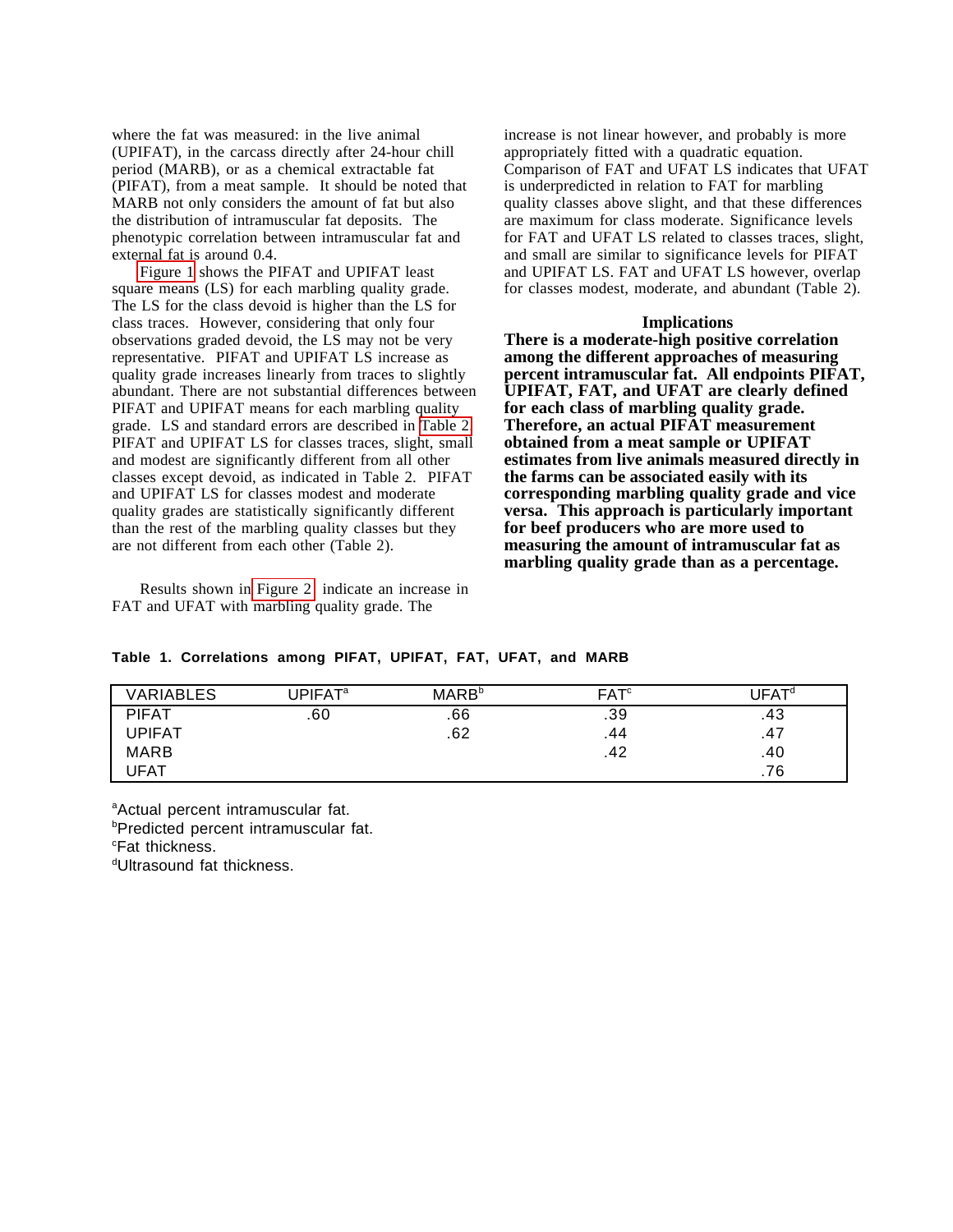where the fat was measured: in the live animal (UPIFAT), in the carcass directly after 24-hour chill period (MARB), or as a chemical extractable fat (PIFAT), from a meat sample. It should be noted that MARB not only considers the amount of fat but also the distribution of intramuscular fat deposits. The phenotypic correlation between intramuscular fat and external fat is around 0.4.

<span id="page-1-0"></span>[Figure 1](#page-2-0) shows the PIFAT and UPIFAT least square means (LS) for each marbling quality grade. The LS for the class devoid is higher than the LS for class traces. However, considering that only four observations graded devoid, the LS may not be very representative. PIFAT and UPIFAT LS increase as quality grade increases linearly from traces to slightly abundant. There are not substantial differences between PIFAT and UPIFAT means for each marbling quality grade. LS and standard errors are described in [Table 2.](#page-2-1) PIFAT and UPIFAT LS for classes traces, slight, small and modest are significantly different from all other classes except devoid, as indicated in Table 2. PIFAT and UPIFAT LS for classes modest and moderate quality grades are statistically significantly different than the rest of the marbling quality classes but they are not different from each other (Table 2).

Results shown in [Figure 2](#page-3-0) indicate an increase in FAT and UFAT with marbling quality grade. The

increase is not linear however, and probably is more appropriately fitted with a quadratic equation. Comparison of FAT and UFAT LS indicates that UFAT is underpredicted in relation to FAT for marbling quality classes above slight, and that these differences are maximum for class moderate. Significance levels for FAT and UFAT LS related to classes traces, slight, and small are similar to significance levels for PIFAT and UPIFAT LS. FAT and UFAT LS however, overlap for classes modest, moderate, and abundant (Table 2).

## **Implications**

**There is a moderate-high positive correlation among the different approaches of measuring percent intramuscular fat. All endpoints PIFAT, UPIFAT, FAT, and UFAT are clearly defined for each class of marbling quality grade. Therefore, an actual PIFAT measurement obtained from a meat sample or UPIFAT estimates from live animals measured directly in the farms can be associated easily with its corresponding marbling quality grade and vice versa. This approach is particularly important for beef producers who are more used to measuring the amount of intramuscular fat as marbling quality grade than as a percentage.**

| <b>VARIABLES</b> | $UPIFAT^a$ | <b>MARB</b> <sup>b</sup> | FAT <sup>c</sup> | UFATª |
|------------------|------------|--------------------------|------------------|-------|
| <b>PIFAT</b>     | .60        | .66                      | .39              | .43   |
| <b>UPIFAT</b>    |            | .62                      | .44              | .47   |
| <b>MARB</b>      |            |                          | .42              | .40   |
| JFAT             |            |                          |                  | .76   |

**Table 1. Correlations among PIFAT, UPIFAT, FAT, UFAT, and MARB**

aActual percent intramuscular fat.

b Predicted percent intramuscular fat.

c Fat thickness.

d Ultrasound fat thickness.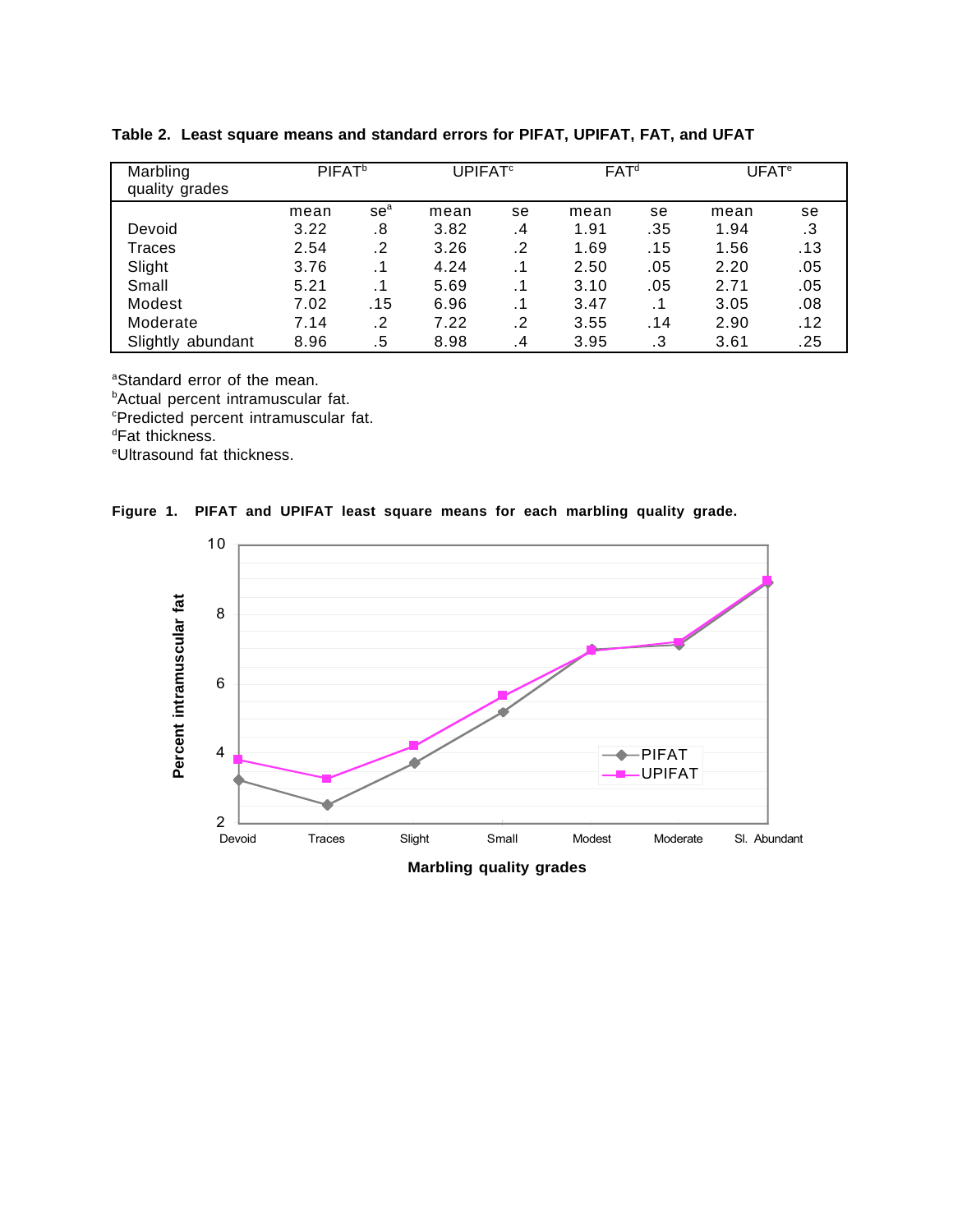<span id="page-2-0"></span>

| Marbling<br>quality grades | PIFAT <sup>b</sup> |                 | UPIFAT <sup>c</sup> |    | FAT <sup>d</sup> |     | $\mathsf{UFAT}^\mathtt{e}$ |     |
|----------------------------|--------------------|-----------------|---------------------|----|------------------|-----|----------------------------|-----|
|                            | mean               | se <sup>a</sup> | mean                | se | mean             | se  | mean                       | se  |
| Devoid                     | 3.22               | .8              | 3.82                | .4 | 1.91             | .35 | 1.94                       | .3  |
| Traces                     | 2.54               | .2              | 3.26                | .2 | 1.69             | .15 | 1.56                       | .13 |
| Slight                     | 3.76               |                 | 4.24                |    | 2.50             | .05 | 2.20                       | .05 |
| Small                      | 5.21               |                 | 5.69                |    | 3.10             | .05 | 2.71                       | .05 |
| Modest                     | 7.02               | .15             | 6.96                |    | 3.47             |     | 3.05                       | .08 |
| Moderate                   | 7.14               | .2              | 7.22                | .2 | 3.55             | .14 | 2.90                       | .12 |
| Slightly<br>abundant       | 8.96               | $.5\,$          | 8.98                | .4 | 3.95             | .3  | 3.61                       | .25 |

<span id="page-2-1"></span>**Table 2. Least square means and standard errors for PIFAT, UPIFAT, FAT, and UFAT**

aStandard error of the mean.

**Actual percent intramuscular fat.** 

c Predicted percent intramuscular fat.

d Fat thickness.

e Ultrasound fat thickness.





**Marbling quality grades**